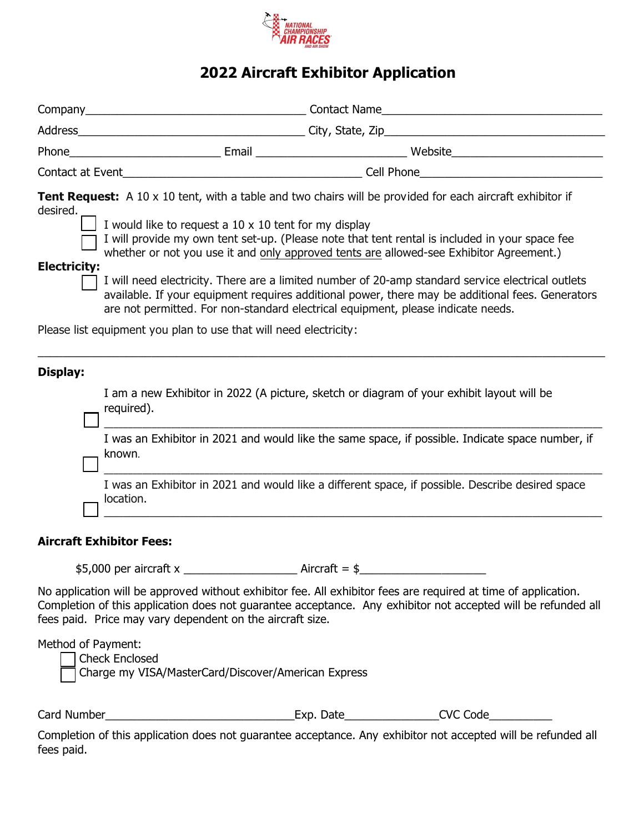

# **2022 Aircraft Exhibitor Application**

|                                                                                                                                                                                                                                                                                                                                                                                                                                                                                                                                                                                                                                                                                                                                                                             |                      | Contact at Event <b>Example 2018</b> Cell Phone <b>Cell Phone</b>                                |  |  |  |
|-----------------------------------------------------------------------------------------------------------------------------------------------------------------------------------------------------------------------------------------------------------------------------------------------------------------------------------------------------------------------------------------------------------------------------------------------------------------------------------------------------------------------------------------------------------------------------------------------------------------------------------------------------------------------------------------------------------------------------------------------------------------------------|----------------------|--------------------------------------------------------------------------------------------------|--|--|--|
| <b>Tent Request:</b> A 10 x 10 tent, with a table and two chairs will be provided for each aircraft exhibitor if<br>desired.<br>I would like to request a 10 x 10 tent for my display<br>I will provide my own tent set-up. (Please note that tent rental is included in your space fee<br>whether or not you use it and only approved tents are allowed-see Exhibitor Agreement.)<br><b>Electricity:</b><br>I will need electricity. There are a limited number of 20-amp standard service electrical outlets<br>available. If your equipment requires additional power, there may be additional fees. Generators<br>are not permitted. For non-standard electrical equipment, please indicate needs.<br>Please list equipment you plan to use that will need electricity: |                      |                                                                                                  |  |  |  |
| Display:                                                                                                                                                                                                                                                                                                                                                                                                                                                                                                                                                                                                                                                                                                                                                                    |                      | I am a new Exhibitor in 2022 (A picture, sketch or diagram of your exhibit layout will be        |  |  |  |
|                                                                                                                                                                                                                                                                                                                                                                                                                                                                                                                                                                                                                                                                                                                                                                             | required).<br>known. | I was an Exhibitor in 2021 and would like the same space, if possible. Indicate space number, if |  |  |  |

I was an Exhibitor in 2021 and would like a different space, if possible. Describe desired space location. \_\_\_\_\_\_\_\_\_\_\_\_\_\_\_\_\_\_\_\_\_\_\_\_\_\_\_\_\_\_\_\_\_\_\_\_\_\_\_\_\_\_\_\_\_\_\_\_\_\_\_\_\_\_\_\_\_\_\_\_\_\_\_\_\_\_\_\_\_\_\_\_\_\_\_\_\_\_\_

## **Aircraft Exhibitor Fees:**

\$5,000 per aircraft x \_\_\_\_\_\_\_\_\_\_\_\_\_\_\_\_\_\_ Aircraft = \$\_\_\_\_\_\_\_\_\_\_\_\_\_\_\_\_\_\_\_\_

No application will be approved without exhibitor fee. All exhibitor fees are required at time of application. Completion of this application does not guarantee acceptance. Any exhibitor not accepted will be refunded all fees paid. Price may vary dependent on the aircraft size.

Method of Payment:

 Check Enclosed Charge my VISA/MasterCard/Discover/American Express

Card Number\_\_\_\_\_\_\_\_\_\_\_\_\_\_\_\_\_\_\_\_\_\_\_\_\_\_\_\_\_\_Exp. Date\_\_\_\_\_\_\_\_\_\_\_\_\_\_\_CVC Code\_\_\_\_\_\_\_\_\_\_

Completion of this application does not guarantee acceptance. Any exhibitor not accepted will be refunded all fees paid.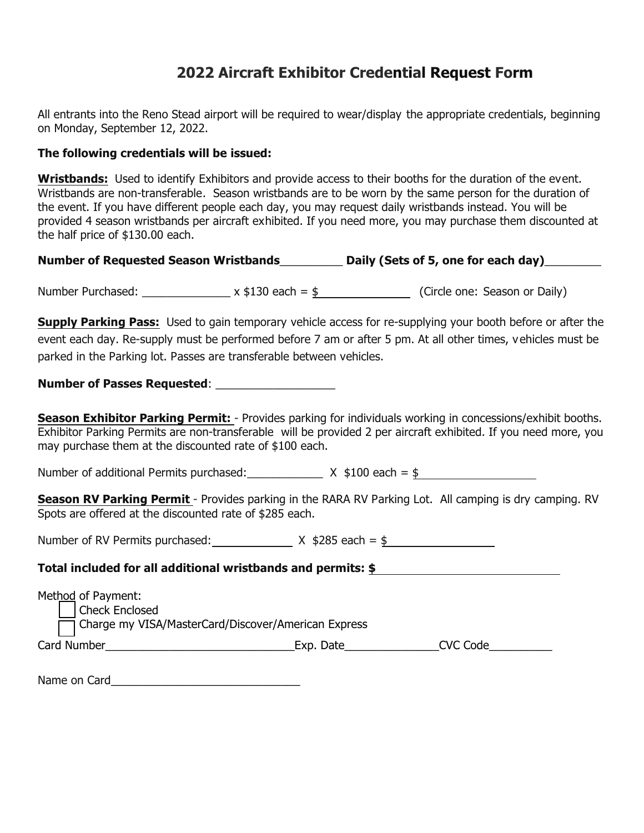## **2022 Aircraft Exhibitor Credential Request Form**

All entrants into the Reno Stead airport will be required to wear/display the appropriate credentials, beginning on Monday, September 12, 2022.

### **The following credentials will be issued:**

**Wristbands:** Used to identify Exhibitors and provide access to their booths for the duration of the event. *Wristbands are non-transferable*. Season wristbands are to be worn by the same person for the duration of the event. If you have different people each day, you may request daily wristbands instead. You will be provided 4 season wristbands per aircraft exhibited. If you need more, you may purchase them discounted at the half price of \$130.00 each.

| <b>Number of Requested Season Wristbands</b> | Daily (Sets of 5, one for each day) |
|----------------------------------------------|-------------------------------------|
|----------------------------------------------|-------------------------------------|

Number Purchased:  $\frac{1}{2}$  x \$130 each = \$ (Circle one: Season or Daily)

**Supply Parking Pass:** Used to gain temporary vehicle access for re-supplying your booth before or after the event each day. Re-supply must be performed before 7 am or after 5 pm. At all other times, vehicles must be parked in the Parking lot. Passes are transferable between vehicles.

**Number of Passes Requested:** 

**Season Exhibitor Parking Permit:** - Provides parking for individuals working in concessions/exhibit booths. *Exhibitor Parking Permits are non-transferable* will be provided 2 per aircraft exhibited. If you need more, you may purchase them at the discounted rate of \$100 each.

Number of additional Permits purchased:  $\frac{X \cdot $100 \text{ each}} = $$ 

**Season RV Parking Permit** - Provides parking in the RARA RV Parking Lot. All camping is dry camping. RV Spots are offered at the discounted rate of \$285 each.

Number of RV Permits purchased:  $X \, \$285 \, \text{each} = \$$ 

#### **Total included for all additional wristbands and permits: \$**

| Method of Payment:<br>Check Enclosed                |           |          |  |  |
|-----------------------------------------------------|-----------|----------|--|--|
| Charge my VISA/MasterCard/Discover/American Express |           |          |  |  |
| Card Number                                         | Exp. Date | CVC Code |  |  |
|                                                     |           |          |  |  |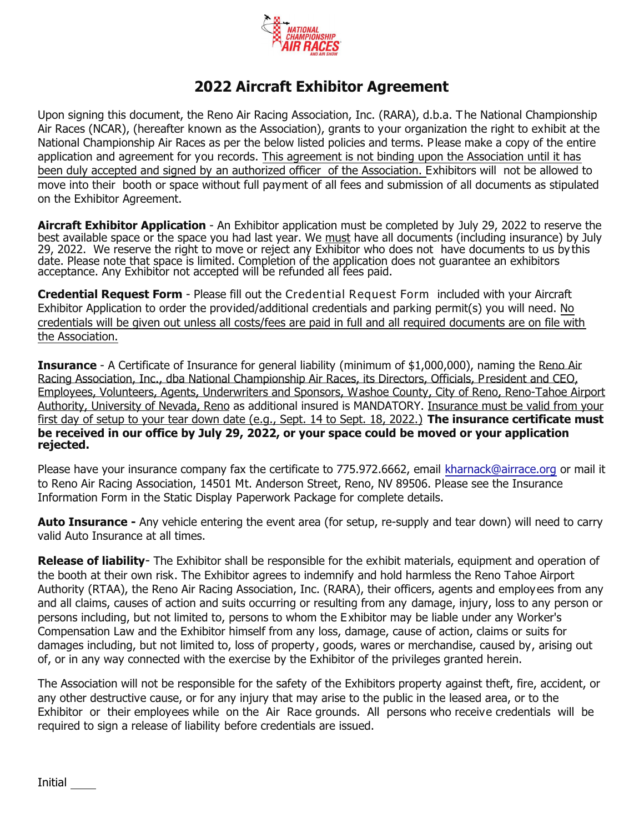

## **2022 Aircraft Exhibitor Agreement**

Upon signing this document, the Reno Air Racing Association, Inc. (RARA), d.b.a. The National Championship Air Races (NCAR), (hereafter known as the Association), grants to your organization the right to exhibit at the National Championship Air Races as per the below listed policies and terms. Please make a copy of the entire application and agreement for you records. This agreement is not binding upon the Association until it has been duly accepted and signed by an authorized officer of the Association. Exhibitors will not be allowed to move into their booth or space without full payment of all fees and submission of all documents as stipulated on the Exhibitor Agreement.

**Aircraft Exhibitor Application** - An Exhibitor application must be completed by July 29, 2022 to reserve the best available space or the space you had last year. We must have all documents (including insurance) by July 29, 2022. We reserve the right to move or reject any Exhibitor who does not have documents to us by this date. Please note that space is limited. Completion of the application does not guarantee an exhibitors acceptance. Any Exhibitor not accepted will be refunded all fees paid.

**Credential Request Form** - Please fill out the *Credential Request Form* included with your Aircraft Exhibitor Application to order the provided/additional credentials and parking permit(s) you will need. No credentials will be given out unless all costs/fees are paid in full and all required documents are on file with the Association.

**Insurance** - A Certificate of Insurance for general liability (minimum of \$1,000,000), naming the Reno Air Racing Association, Inc., dba National Championship Air Races, its Directors, Officials, President and CEO, Employees, Volunteers, Agents, Underwriters and Sponsors, Washoe County, City of Reno, Reno-Tahoe Airport Authority, University of Nevada, Reno as additional insured is MANDATORY. Insurance must be valid from your first day of setup to your tear down date (e.g., Sept. 14 to Sept. 18, 2022.) **The insurance certificate must be received in our office by July 29, 2022, or your space could be moved or your application rejected.**

Please have your insurance company fax the certificate to 775.972.6662, email kharnack@airrace.org or mail it to Reno Air Racing Association, 14501 Mt. Anderson Street, Reno, NV 89506. Please see the Insurance Information Form in the Static Display Paperwork Package for complete details.

**Auto Insurance -** Any vehicle entering the event area (for setup, re-supply and tear down) will need to carry valid Auto Insurance at all times.

**Release of liability***-* The Exhibitor shall be responsible for the exhibit materials, equipment and operation of the booth at their own risk. The Exhibitor agrees to indemnify and hold harmless the Reno Tahoe Airport Authority (RTAA), the Reno Air Racing Association, Inc. (RARA), their officers, agents and employees from any and all claims, causes of action and suits occurring or resulting from any damage, injury, loss to any person or persons including, but not limited to, persons to whom the Exhibitor may be liable under any Worker's Compensation Law and the Exhibitor himself from any loss, damage, cause of action, claims or suits for damages including, but not limited to, loss of property, goods, wares or merchandise, caused by, arising out of, or in any way connected with the exercise by the Exhibitor of the privileges granted herein.

The Association will not be responsible for the safety of the Exhibitors property against theft, fire, accident, or any other destructive cause, or for any injury that may arise to the public in the leased area, or to the Exhibitor or their employees while on the Air Race grounds. All persons who receive credentials will be required to sign a release of liability before credentials are issued.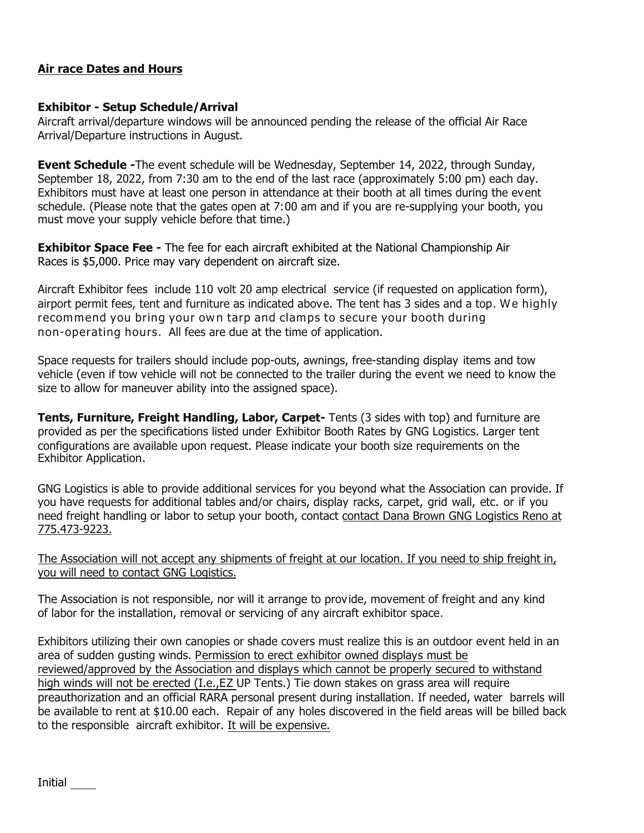## **Air race Dates and Hours**

#### **Exhibitor - Setup Schedule/Arrival**

Aircraft arrival/departure windows will be announced pending the release of the official Air Race Arrival/Departure instructions in August.

**Event Schedule -**The event schedule will be Wednesday, September 14, 2022, through Sunday, September 18, 2022, from 7:30 am to the end of the last race (approximately 5:00 pm) each day. Exhibitors must have at least one person in attendance at their booth at all times during the event schedule. (Please note that the gates open at 7:00 am and if you are re-supplying your booth, you must move your supply vehicle before that time.)

**Exhibitor Space Fee -** The fee for each aircraft exhibited at the National Championship Air Races is \$5,000. Price may vary dependent on aircraft size.

Aircraft Exhibitor fees include 110 volt 20 amp electrical service (if requested on application form), airport permit fees, tent and furniture as indicated above. The tent has 3 sides and a top. *We highly recommend you bring your own tarp and clamps to secure your booth during non-operating hours.* All fees are due at the time of application.

Space requests for trailers should include pop-outs, awnings, free-standing display items and tow vehicle (even if tow vehicle will not be connected to the trailer during the event we need to know the size to allow for maneuver ability into the assigned space).

**Tents, Furniture, Freight Handling, Labor, Carpet-** Tents (3 sides with top) and furniture are provided as per the specifications listed under *Exhibitor Booth Rates* by GNG Logistics. Larger tent configurations are available upon request. Please indicate your booth size requirements on the Exhibitor Application*.*

GNG Logistics is able to provide additional services for you beyond what the Association can provide. If you have requests for additional tables and/or chairs, display racks, carpet, grid wall, etc. or if you need freight handling or labor to setup your booth, contact contact Dana Brown GNG Logistics Reno at 775.473-9223.

The Association will not accept any shipments of freight at our location. If you need to ship freight in, you will need to contact GNG Logistics.

The Association is not responsible, nor will it arrange to provide, movement of freight and any kind of labor for the installation, removal or servicing of any aircraft exhibitor space.

Exhibitors utilizing their own canopies or shade covers must realize this is an outdoor event held in an area of sudden gusting winds. Permission to erect exhibitor owned displays must be reviewed/approved by the Association and displays which cannot be properly secured to withstand high winds will not be erected (I.e.,EZ UP Tents.) Tie down stakes on grass area will require preauthorization and an official RARA personal present during installation. If needed, water barrels will be available to rent at \$10.00 each. Repair of any holes discovered in the field areas will be billed back to the responsible aircraft exhibitor. It will be expensive.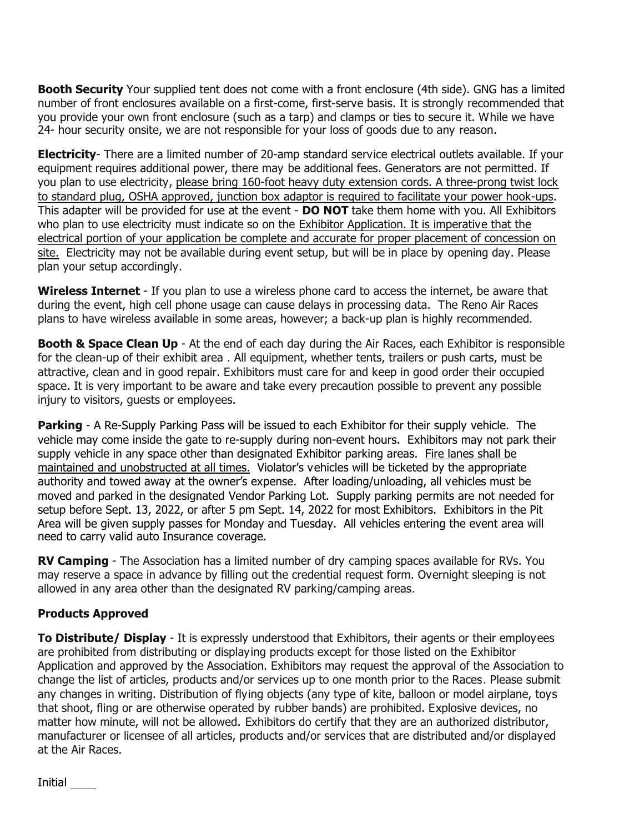**Booth Security** Your supplied tent does not come with a front enclosure (4th side). GNG has a limited number of front enclosures available on a first-come, first-serve basis. It is strongly recommended that you provide your own front enclosure (such as a tarp) and clamps or ties to secure it. While we have 24- hour security onsite, we are not responsible for your loss of goods due to any reason.

**Electricity**- There are a limited number of 20-amp standard service electrical outlets available. If your equipment requires additional power, there may be additional fees. Generators are not permitted. If you plan to use electricity, please bring 160-foot heavy duty extension cords. A three-prong twist lock to standard plug, OSHA approved, junction box adaptor is required to facilitate your power hook-ups. This adapter will be provided for use at the event - **DO NOT** take them home with you. All Exhibitors who plan to use electricity must indicate so on the *Exhibitor Application. It is imperative that the electrical portion of your application be complete and accurate for proper placement of concession on site.* Electricity may not be available during event setup, but will be in place by opening day. Please plan your setup accordingly.

**Wireless Internet** *-* If you plan to use a wireless phone card to access the internet, be aware that during the event, high cell phone usage can cause delays in processing data. The Reno Air Races plans to have wireless available in some areas, however; a back-up plan is highly recommended**.**

**Booth & Space Clean Up** - At the end of each day during the Air Races, each Exhibitor is responsible for the clean-up of their exhibit area . All equipment, whether tents, trailers or push carts, must be attractive, clean and in good repair. Exhibitors must care for and keep in good order their occupied space. It is very important to be aware and take every precaution possible to prevent any possible injury to visitors, guests or employees.

**Parking** - A Re-Supply Parking Pass will be issued to each Exhibitor for their supply vehicle. The vehicle may come inside the gate to re-supply during non-event hours. Exhibitors may not park their supply vehicle in any space other than designated Exhibitor parking areas. Fire lanes shall be maintained and unobstructed at all times. Violator's vehicles will be ticketed by the appropriate authority and towed away at the owner's expense. After loading/unloading, all vehicles must be moved and parked in the designated *Vendor Parking Lot*. Supply parking permits are not needed for setup before Sept. 13, 2022, or after 5 pm Sept. 14, 2022 for most Exhibitors. Exhibitors in the Pit Area will be given supply passes for Monday and Tuesday. All vehicles entering the event area will need to carry valid auto Insurance coverage.

**RV Camping** - The Association has a limited number of dry camping spaces available for RVs. You may reserve a space in advance by filling out the credential request form. Overnight sleeping is not allowed in any area other than the designated RV parking/camping areas.

## **Products Approved**

**To Distribute/ Display** - It is expressly understood that Exhibitors, their agents or their employees are prohibited from distributing or displaying products except for those listed on the Exhibitor Application and approved by the Association. Exhibitors may request the approval of the Association to change the list of articles, products and/or services up to one month prior to the Races. Please submit any changes in writing. Distribution of flying objects (any type of kite, balloon or model airplane, toys that shoot, fling or are otherwise operated by rubber bands) are prohibited. Explosive devices, no matter how minute, will not be allowed. Exhibitors do certify that they are an authorized distributor, manufacturer or licensee of all articles, products and/or services that are distributed and/or displayed at the Air Races.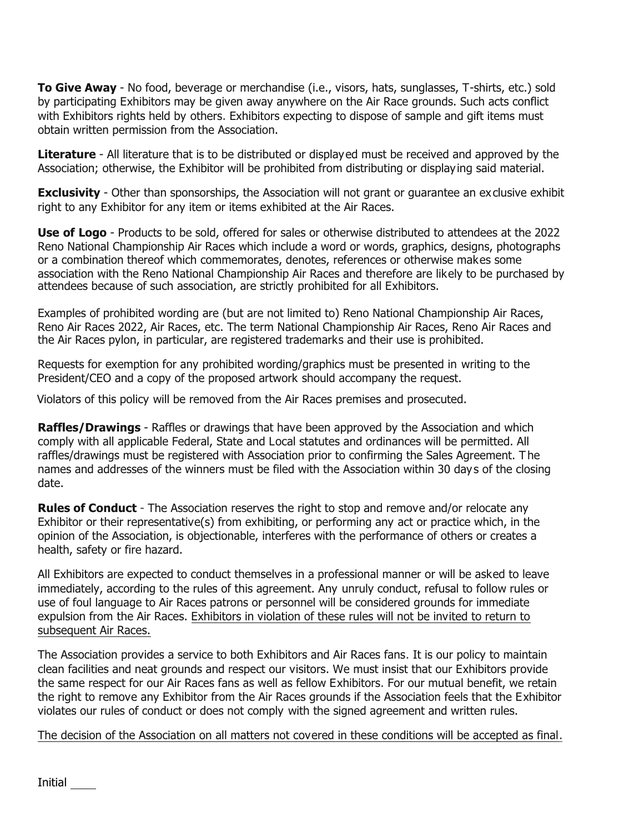**To Give Away** - No food, beverage or merchandise (i.e., visors, hats, sunglasses, T-shirts, etc.) sold by participating Exhibitors may be given away anywhere on the Air Race grounds. Such acts conflict with Exhibitors rights held by others. Exhibitors expecting to dispose of sample and gift items must obtain written permission from the Association.

**Literature** - All literature that is to be distributed or displayed must be received and approved by the Association; otherwise, the Exhibitor will be prohibited from distributing or displaying said material.

**Exclusivity** - Other than sponsorships, the Association will not grant or quarantee an exclusive exhibit right to any Exhibitor for any item or items exhibited at the Air Races.

**Use of Logo** - Products to be sold, offered for sales or otherwise distributed to attendees at the 2022 Reno National Championship Air Races which include a word or words, graphics, designs, photographs or a combination thereof which commemorates, denotes, references or otherwise makes some association with the Reno National Championship Air Races and therefore are likely to be purchased by attendees because of such association, are strictly prohibited for all Exhibitors.

Examples of prohibited wording are (but are not limited to) Reno National Championship Air Races, Reno Air Races 2022, Air Races, etc. The term National Championship Air Races, Reno Air Races and the Air Races pylon, in particular, are registered trademarks and their use is prohibited.

Requests for exemption for any prohibited wording/graphics must be presented in writing to the President/CEO and a copy of the proposed artwork should accompany the request.

Violators of this policy will be removed from the Air Races premises and prosecuted.

**Raffles/Drawings** - Raffles or drawings that have been approved by the Association and which comply with all applicable Federal, State and Local statutes and ordinances will be permitted. All raffles/drawings must be registered with Association prior to confirming the Sales Agreement. The names and addresses of the winners must be filed with the Association within 30 days of the closing date.

**Rules of Conduct** *-* The Association reserves the right to stop and remove and/or relocate any Exhibitor or their representative(s) from exhibiting, or performing any act or practice which, in the opinion of the Association, is objectionable, interferes with the performance of others or creates a health, safety or fire hazard.

All Exhibitors are expected to conduct themselves in a professional manner or will be asked to leave immediately, according to the rules of this agreement. Any unruly conduct, refusal to follow rules or use of foul language to Air Races patrons or personnel will be considered grounds for immediate expulsion from the Air Races. Exhibitors in violation of these rules will not be invited to return to subsequent Air Races.

The Association provides a service to both Exhibitors and Air Races fans. It is our policy to maintain clean facilities and neat grounds and respect our visitors. We must insist that our Exhibitors provide the same respect for our Air Races fans as well as fellow Exhibitors. For our mutual benefit, we retain the right to remove any Exhibitor from the Air Races grounds if the Association feels that the Exhibitor violates our rules of conduct or does not comply with the signed agreement and written rules.

The decision of the Association on all matters not covered in these conditions will be accepted as final.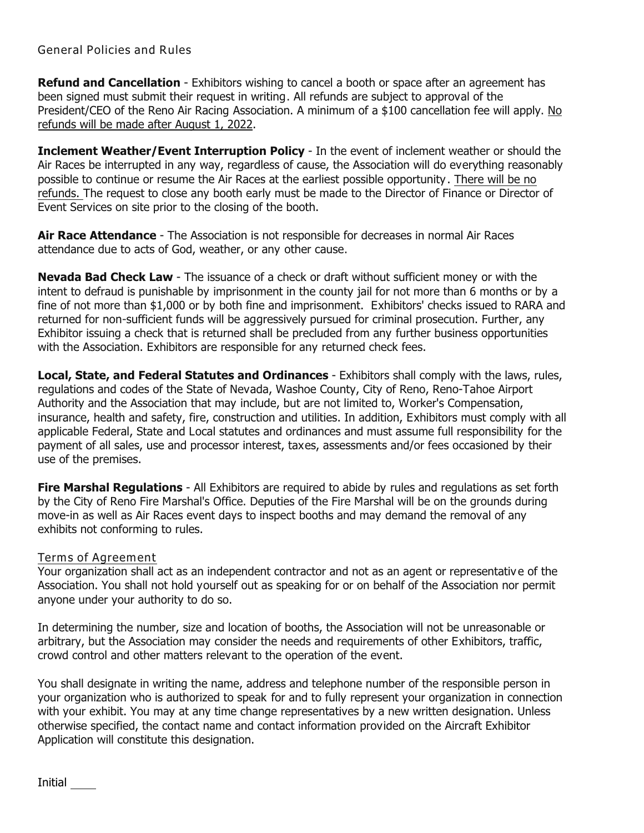## *General Policies and Rules*

**Refund and Cancellation** - Exhibitors wishing to cancel a booth or space after an agreement has been signed must submit their request in writing. All refunds are subject to approval of the President/CEO of the Reno Air Racing Association. A minimum of a \$100 cancellation fee will apply. No refunds will be made after August 1, 2022.

**Inclement Weather/Event Interruption Policy** - In the event of inclement weather or should the Air Races be interrupted in any way, regardless of cause, the Association will do everything reasonably possible to continue or resume the Air Races at the earliest possible opportunity. There will be no refunds. The request to close any booth early must be made to the Director of Finance or Director of Event Services on site prior to the closing of the booth.

**Air Race Attendance** *-* The Association is not responsible for decreases in normal Air Races attendance due to acts of God, weather, or any other cause.

**Nevada Bad Check Law** *-* The issuance of a check or draft without sufficient money or with the intent to defraud is punishable by imprisonment in the county jail for not more than 6 months or by a fine of not more than \$1,000 or by both fine and imprisonment. Exhibitors' checks issued to RARA and returned for non-sufficient funds will be aggressively pursued for criminal prosecution. Further, any Exhibitor issuing a check that is returned shall be precluded from any further business opportunities with the Association. Exhibitors are responsible for any returned check fees.

**Local, State, and Federal Statutes and Ordinances** - Exhibitors shall comply with the laws, rules, regulations and codes of the State of Nevada, Washoe County, City of Reno, Reno-Tahoe Airport Authority and the Association that may include, but are not limited to, Worker's Compensation, insurance, health and safety, fire, construction and utilities. In addition, Exhibitors must comply with all applicable Federal, State and Local statutes and ordinances and must assume full responsibility for the payment of all sales, use and processor interest, taxes, assessments and/or fees occasioned by their use of the premises.

**Fire Marshal Regulations** - All Exhibitors are required to abide by rules and regulations as set forth by the City of Reno Fire Marshal's Office. Deputies of the Fire Marshal will be on the grounds during move-in as well as Air Races event days to inspect booths and may demand the removal of any exhibits not conforming to rules.

#### *Terms of Agreement*

Your organization shall act as an independent contractor and not as an agent or representative of the Association. You shall not hold yourself out as speaking for or on behalf of the Association nor permit anyone under your authority to do so.

In determining the number, size and location of booths, the Association will not be unreasonable or arbitrary, but the Association may consider the needs and requirements of other Exhibitors, traffic, crowd control and other matters relevant to the operation of the event.

You shall designate in writing the name, address and telephone number of the responsible person in your organization who is authorized to speak for and to fully represent your organization in connection with your exhibit. You may at any time change representatives by a new written designation. Unless otherwise specified, the contact name and contact information provided on the *Aircraft Exhibitor Application* will constitute this designation.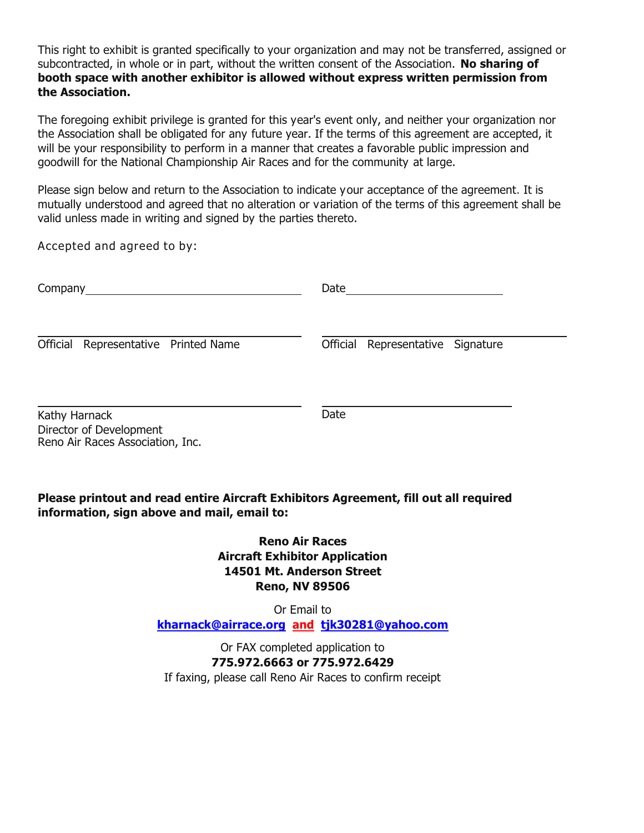This right to exhibit is granted specifically to your organization and may not be transferred, assigned or subcontracted, in whole or in part, without the written consent of the Association. **No sharing of booth space with another exhibitor is allowed without express written permission from the Association.** 

The foregoing exhibit privilege is granted for this year's event only, and neither your organization nor the Association shall be obligated for any future year. If the terms of this agreement are accepted, it will be your responsibility to perform in a manner that creates a favorable public impression and goodwill for the National Championship Air Races and for the community at large.

Please sign below and return to the Association to indicate your acceptance of the agreement. It is mutually understood and agreed that no alteration or variation of the terms of this agreement shall be valid unless made in writing and signed by the parties thereto.

*Accepted and agreed to by:*

| Company                                                                      | Date                                 |  |
|------------------------------------------------------------------------------|--------------------------------------|--|
| Official Representative Printed Name                                         | Representative Signature<br>Official |  |
| Kathy Harnack<br>Director of Development<br>Reno Air Races Association, Inc. | Date                                 |  |

## **Please printout and read entire Aircraft Exhibitors Agreement, fill out all required information, sign above and mail, email to:**

**Reno Air Races Aircraft Exhibitor Application 14501 Mt. Anderson Street Reno, NV 89506**

Or Email to **[kharnack@airrace.org](mailto:kharnack@airrace.org) and [tjk30281@yahoo.com](mailto:tjk30281@yahoo.com)**

Or FAX completed application to **775.972.6663 or 775.972.6429** If faxing, please call Reno Air Races to confirm receipt